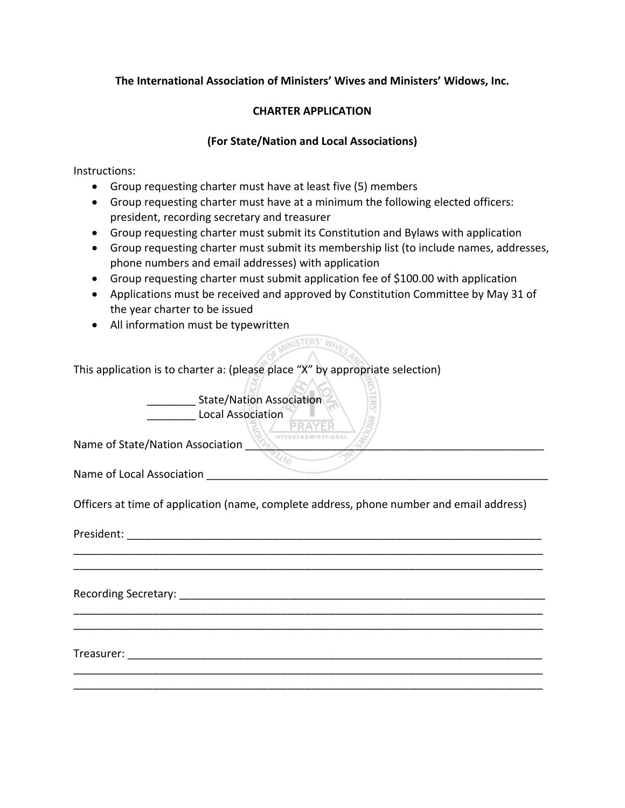## **The International Association of Ministers' Wives and Ministers' Widows, Inc.**

## **CHARTER APPLICATION**

## **(For State/Nation and Local Associations)**

Instructions:

- Group requesting charter must have at least five (5) members
- Group requesting charter must have at a minimum the following elected officers: president, recording secretary and treasurer
- Group requesting charter must submit its Constitution and Bylaws with application
- Group requesting charter must submit its membership list (to include names, addresses, phone numbers and email addresses) with application
- Group requesting charter must submit application fee of \$100.00 with application
- Applications must be received and approved by Constitution Committee by May 31 of the year charter to be issued

**MINISTERS' WILL** 

• All information must be typewritten

This application is to charter a: (please place "X" by appropriate selection)

State/Nation Association  $\angle$ **\_\_\_\_\_\_\_\_\_ Local Association**<br>PRAYER

Name of State/Nation Association

Name of Local Association \_\_\_\_\_\_\_\_\_\_\_\_\_\_\_\_\_\_\_\_\_\_\_\_\_\_\_\_\_\_\_\_\_\_\_\_\_\_\_\_\_\_\_\_\_\_\_\_\_\_\_\_\_\_\_\_

Officers at time of application (name, complete address, phone number and email address)

\_\_\_\_\_\_\_\_\_\_\_\_\_\_\_\_\_\_\_\_\_\_\_\_\_\_\_\_\_\_\_\_\_\_\_\_\_\_\_\_\_\_\_\_\_\_\_\_\_\_\_\_\_\_\_\_\_\_\_\_\_\_\_\_\_\_\_\_\_\_\_\_\_\_\_\_\_ \_\_\_\_\_\_\_\_\_\_\_\_\_\_\_\_\_\_\_\_\_\_\_\_\_\_\_\_\_\_\_\_\_\_\_\_\_\_\_\_\_\_\_\_\_\_\_\_\_\_\_\_\_\_\_\_\_\_\_\_\_\_\_\_\_\_\_\_\_\_\_\_\_\_\_\_\_

\_\_\_\_\_\_\_\_\_\_\_\_\_\_\_\_\_\_\_\_\_\_\_\_\_\_\_\_\_\_\_\_\_\_\_\_\_\_\_\_\_\_\_\_\_\_\_\_\_\_\_\_\_\_\_\_\_\_\_\_\_\_\_\_\_\_\_\_\_\_\_\_\_\_\_\_\_ \_\_\_\_\_\_\_\_\_\_\_\_\_\_\_\_\_\_\_\_\_\_\_\_\_\_\_\_\_\_\_\_\_\_\_\_\_\_\_\_\_\_\_\_\_\_\_\_\_\_\_\_\_\_\_\_\_\_\_\_\_\_\_\_\_\_\_\_\_\_\_\_\_\_\_\_\_

\_\_\_\_\_\_\_\_\_\_\_\_\_\_\_\_\_\_\_\_\_\_\_\_\_\_\_\_\_\_\_\_\_\_\_\_\_\_\_\_\_\_\_\_\_\_\_\_\_\_\_\_\_\_\_\_\_\_\_\_\_\_\_\_\_\_\_\_\_\_\_\_\_\_\_\_\_ \_\_\_\_\_\_\_\_\_\_\_\_\_\_\_\_\_\_\_\_\_\_\_\_\_\_\_\_\_\_\_\_\_\_\_\_\_\_\_\_\_\_\_\_\_\_\_\_\_\_\_\_\_\_\_\_\_\_\_\_\_\_\_\_\_\_\_\_\_\_\_\_\_\_\_\_\_

President: where  $\overline{a}$  is a set of  $\overline{a}$  is a set of  $\overline{a}$  is a set of  $\overline{a}$  is a set of  $\overline{a}$  is a set of  $\overline{a}$  is a set of  $\overline{a}$  is a set of  $\overline{a}$  is a set of  $\overline{a}$  is a set of  $\overline{a}$  is a se

Recording Secretary:  $\Box$ 

Treasurer: \_\_\_\_\_\_\_\_\_\_\_\_\_\_\_\_\_\_\_\_\_\_\_\_\_\_\_\_\_\_\_\_\_\_\_\_\_\_\_\_\_\_\_\_\_\_\_\_\_\_\_\_\_\_\_\_\_\_\_\_\_\_\_\_\_\_\_\_